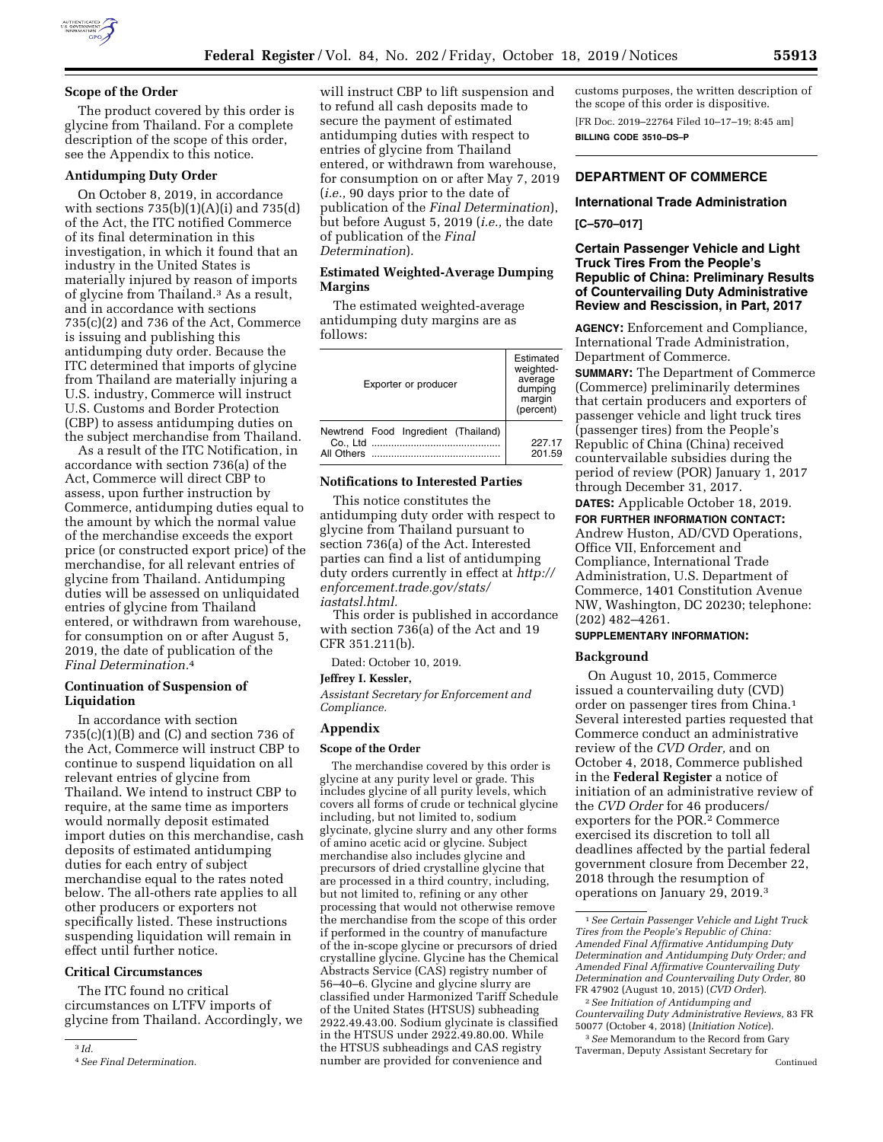

# **Scope of the Order**

The product covered by this order is glycine from Thailand. For a complete description of the scope of this order, see the Appendix to this notice.

# **Antidumping Duty Order**

On October 8, 2019, in accordance with sections  $735(b)(1)(A)(i)$  and  $735(d)$ of the Act, the ITC notified Commerce of its final determination in this investigation, in which it found that an industry in the United States is materially injured by reason of imports of glycine from Thailand.3 As a result, and in accordance with sections 735(c)(2) and 736 of the Act, Commerce is issuing and publishing this antidumping duty order. Because the ITC determined that imports of glycine from Thailand are materially injuring a U.S. industry, Commerce will instruct U.S. Customs and Border Protection (CBP) to assess antidumping duties on the subject merchandise from Thailand.

As a result of the ITC Notification, in accordance with section 736(a) of the Act, Commerce will direct CBP to assess, upon further instruction by Commerce, antidumping duties equal to the amount by which the normal value of the merchandise exceeds the export price (or constructed export price) of the merchandise, for all relevant entries of glycine from Thailand. Antidumping duties will be assessed on unliquidated entries of glycine from Thailand entered, or withdrawn from warehouse, for consumption on or after August 5, 2019, the date of publication of the *Final Determination.*4

# **Continuation of Suspension of Liquidation**

In accordance with section  $735(c)(1)(B)$  and  $(C)$  and section 736 of the Act, Commerce will instruct CBP to continue to suspend liquidation on all relevant entries of glycine from Thailand. We intend to instruct CBP to require, at the same time as importers would normally deposit estimated import duties on this merchandise, cash deposits of estimated antidumping duties for each entry of subject merchandise equal to the rates noted below. The all-others rate applies to all other producers or exporters not specifically listed. These instructions suspending liquidation will remain in effect until further notice.

## **Critical Circumstances**

The ITC found no critical circumstances on LTFV imports of glycine from Thailand. Accordingly, we

3 *Id.* 

will instruct CBP to lift suspension and to refund all cash deposits made to secure the payment of estimated antidumping duties with respect to entries of glycine from Thailand entered, or withdrawn from warehouse, for consumption on or after May 7, 2019 (*i.e.,* 90 days prior to the date of publication of the *Final Determination*), but before August 5, 2019 (*i.e.,* the date of publication of the *Final Determination*).

## **Estimated Weighted-Average Dumping Margins**

The estimated weighted-average antidumping duty margins are as follows:

| Exporter or producer                              | Estimated<br>weighted-<br>average<br>dumping<br>margin<br>(percent) |
|---------------------------------------------------|---------------------------------------------------------------------|
| Newtrend Food Ingredient (Thailand)<br>All Others | 227 17<br>201.59                                                    |

## **Notifications to Interested Parties**

This notice constitutes the antidumping duty order with respect to glycine from Thailand pursuant to section 736(a) of the Act. Interested parties can find a list of antidumping duty orders currently in effect at *[http://](http://enforcement.trade.gov/stats/iastatsl.html)  [enforcement.trade.gov/stats/](http://enforcement.trade.gov/stats/iastatsl.html) [iastatsl.html.](http://enforcement.trade.gov/stats/iastatsl.html)* 

This order is published in accordance with section 736(a) of the Act and 19 CFR 351.211(b).

Dated: October 10, 2019.

# **Jeffrey I. Kessler,**

*Assistant Secretary for Enforcement and Compliance.* 

# **Appendix**

#### **Scope of the Order**

The merchandise covered by this order is glycine at any purity level or grade. This includes glycine of all purity levels, which covers all forms of crude or technical glycine including, but not limited to, sodium glycinate, glycine slurry and any other forms of amino acetic acid or glycine. Subject merchandise also includes glycine and precursors of dried crystalline glycine that are processed in a third country, including, but not limited to, refining or any other processing that would not otherwise remove the merchandise from the scope of this order if performed in the country of manufacture of the in-scope glycine or precursors of dried crystalline glycine. Glycine has the Chemical Abstracts Service (CAS) registry number of 56–40–6. Glycine and glycine slurry are classified under Harmonized Tariff Schedule of the United States (HTSUS) subheading 2922.49.43.00. Sodium glycinate is classified in the HTSUS under 2922.49.80.00. While the HTSUS subheadings and CAS registry number are provided for convenience and

customs purposes, the written description of the scope of this order is dispositive. [FR Doc. 2019–22764 Filed 10–17–19; 8:45 am] **BILLING CODE 3510–DS–P** 

# **DEPARTMENT OF COMMERCE**

## **International Trade Administration**

#### **[C–570–017]**

# **Certain Passenger Vehicle and Light Truck Tires From the People's Republic of China: Preliminary Results of Countervailing Duty Administrative Review and Rescission, in Part, 2017**

**AGENCY:** Enforcement and Compliance, International Trade Administration, Department of Commerce.

**SUMMARY:** The Department of Commerce (Commerce) preliminarily determines that certain producers and exporters of passenger vehicle and light truck tires (passenger tires) from the People's Republic of China (China) received countervailable subsidies during the period of review (POR) January 1, 2017 through December 31, 2017. **DATES:** Applicable October 18, 2019.

**FOR FURTHER INFORMATION CONTACT:** 

Andrew Huston, AD/CVD Operations, Office VII, Enforcement and Compliance, International Trade Administration, U.S. Department of Commerce, 1401 Constitution Avenue NW, Washington, DC 20230; telephone: (202) 482–4261.

# **SUPPLEMENTARY INFORMATION:**

### **Background**

On August 10, 2015, Commerce issued a countervailing duty (CVD) order on passenger tires from China.1 Several interested parties requested that Commerce conduct an administrative review of the *CVD Order,* and on October 4, 2018, Commerce published in the **Federal Register** a notice of initiation of an administrative review of the *CVD Order* for 46 producers/ exporters for the POR.2 Commerce exercised its discretion to toll all deadlines affected by the partial federal government closure from December 22, 2018 through the resumption of operations on January 29, 2019.3

2*See Initiation of Antidumping and Countervailing Duty Administrative Reviews,* 83 FR 50077 (October 4, 2018) (*Initiation Notice*).

3*See* Memorandum to the Record from Gary Taverman, Deputy Assistant Secretary for

<sup>4</sup>*See Final Determination.* 

<sup>1</sup>*See Certain Passenger Vehicle and Light Truck Tires from the People's Republic of China: Amended Final Affirmative Antidumping Duty Determination and Antidumping Duty Order; and Amended Final Affirmative Countervailing Duty Determination and Countervailing Duty Order,* 80 FR 47902 (August 10, 2015) (*CVD Order*).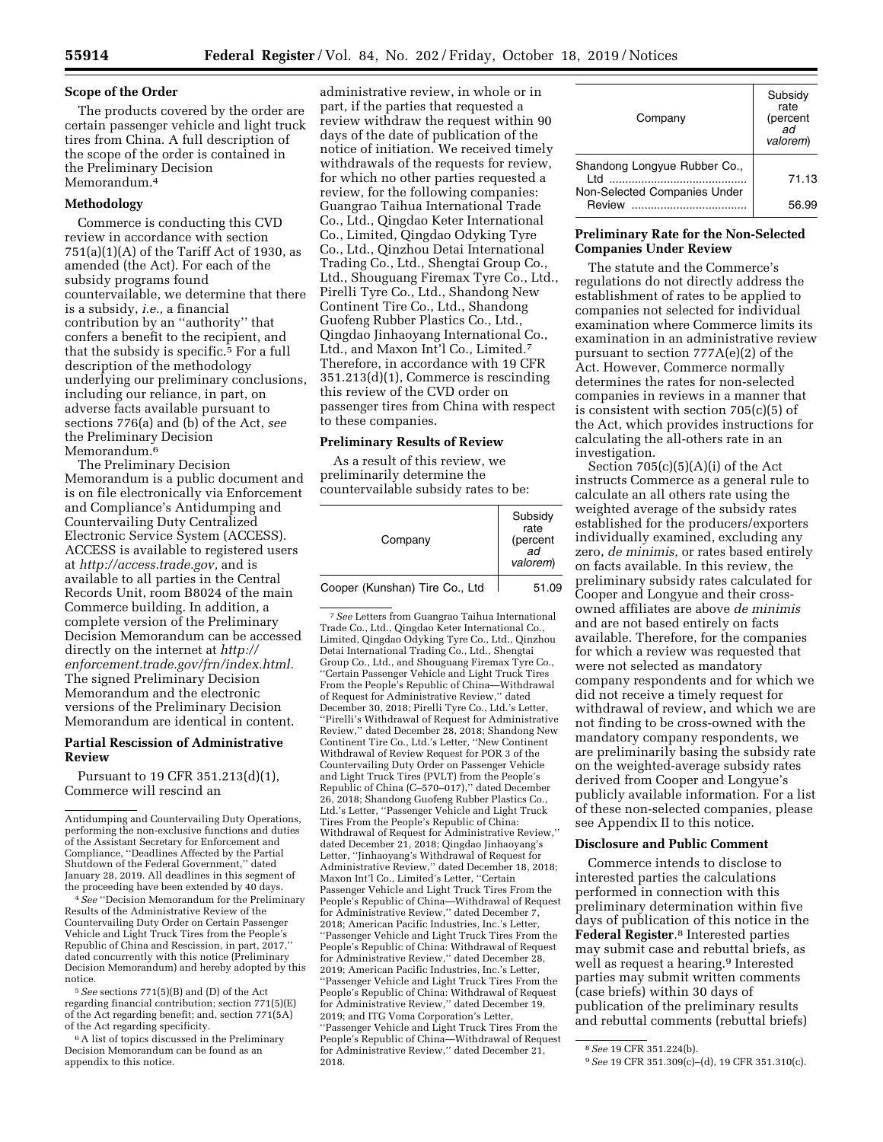## **Scope of the Order**

The products covered by the order are certain passenger vehicle and light truck tires from China. A full description of the scope of the order is contained in the Preliminary Decision Memorandum.4

## **Methodology**

Commerce is conducting this CVD review in accordance with section  $751(a)(1)(A)$  of the Tariff Act of 1930, as amended (the Act). For each of the subsidy programs found countervailable, we determine that there is a subsidy, *i.e.,* a financial contribution by an ''authority'' that confers a benefit to the recipient, and that the subsidy is specific.5 For a full description of the methodology underlying our preliminary conclusions, including our reliance, in part, on adverse facts available pursuant to sections 776(a) and (b) of the Act, *see*  the Preliminary Decision Memorandum.<sup>6</sup>

The Preliminary Decision Memorandum is a public document and is on file electronically via Enforcement and Compliance's Antidumping and Countervailing Duty Centralized Electronic Service System (ACCESS). ACCESS is available to registered users at *[http://access.trade.gov,](http://access.trade.gov)* and is available to all parties in the Central Records Unit, room B8024 of the main Commerce building. In addition, a complete version of the Preliminary Decision Memorandum can be accessed directly on the internet at *[http://](http://enforcement.trade.gov/frn/index.html) [enforcement.trade.gov/frn/index.html.](http://enforcement.trade.gov/frn/index.html)*  The signed Preliminary Decision Memorandum and the electronic versions of the Preliminary Decision Memorandum are identical in content.

## **Partial Rescission of Administrative Review**

Pursuant to 19 CFR 351.213(d)(1), Commerce will rescind an

<sup>4</sup> See "Decision Memorandum for the Preliminary Results of the Administrative Review of the Countervailing Duty Order on Certain Passenger Vehicle and Light Truck Tires from the People's Republic of China and Rescission, in part, 2017,'' dated concurrently with this notice (Preliminary Decision Memorandum) and hereby adopted by this notice.

5*See* sections 771(5)(B) and (D) of the Act regarding financial contribution; section 771(5)(E) of the Act regarding benefit; and, section 771(5A) of the Act regarding specificity.

6A list of topics discussed in the Preliminary Decision Memorandum can be found as an appendix to this notice.

administrative review, in whole or in part, if the parties that requested a review withdraw the request within 90 days of the date of publication of the notice of initiation. We received timely withdrawals of the requests for review, for which no other parties requested a review, for the following companies: Guangrao Taihua International Trade Co., Ltd., Qingdao Keter International Co., Limited, Qingdao Odyking Tyre Co., Ltd., Qinzhou Detai International Trading Co., Ltd., Shengtai Group Co., Ltd., Shouguang Firemax Tyre Co., Ltd., Pirelli Tyre Co., Ltd., Shandong New Continent Tire Co., Ltd., Shandong Guofeng Rubber Plastics Co., Ltd., Qingdao Jinhaoyang International Co., Ltd., and Maxon Int'l Co., Limited.7 Therefore, in accordance with 19 CFR 351.213(d)(1), Commerce is rescinding this review of the CVD order on passenger tires from China with respect to these companies.

# **Preliminary Results of Review**

As a result of this review, we preliminarily determine the countervailable subsidy rates to be:

| Company                        | Subsidy<br>rate<br>(percent<br>ad<br>valorem) |
|--------------------------------|-----------------------------------------------|
| Cooper (Kunshan) Tire Co., Ltd | 51.09                                         |

7*See* Letters from Guangrao Taihua International Trade Co., Ltd., Qingdao Keter International Co., Limited, Qingdao Odyking Tyre Co., Ltd., Qinzhou Detai International Trading Co., Ltd., Shengtai Group Co., Ltd., and Shouguang Firemax Tyre Co., ''Certain Passenger Vehicle and Light Truck Tires From the People's Republic of China—Withdrawal of Request for Administrative Review,'' dated December 30, 2018; Pirelli Tyre Co., Ltd.'s Letter, ''Pirelli's Withdrawal of Request for Administrative Review,'' dated December 28, 2018; Shandong New Continent Tire Co., Ltd.'s Letter, ''New Continent Withdrawal of Review Request for POR 3 of the Countervailing Duty Order on Passenger Vehicle and Light Truck Tires (PVLT) from the People's Republic of China (C–570–017),'' dated December 26, 2018; Shandong Guofeng Rubber Plastics Co., Ltd.'s Letter, ''Passenger Vehicle and Light Truck Tires From the People's Republic of China: Withdrawal of Request for Administrative Review,'' dated December 21, 2018; Qingdao Jinhaoyang's Letter, ''Jinhaoyang's Withdrawal of Request for Administrative Review,'' dated December 18, 2018; Maxon Int'l Co., Limited's Letter, ''Certain Passenger Vehicle and Light Truck Tires From the People's Republic of China—Withdrawal of Request for Administrative Review,'' dated December 7, 2018; American Pacific Industries, Inc.'s Letter, ''Passenger Vehicle and Light Truck Tires From the People's Republic of China: Withdrawal of Request for Administrative Review,'' dated December 28, 2019; American Pacific Industries, Inc.'s Letter, ''Passenger Vehicle and Light Truck Tires From the People's Republic of China: Withdrawal of Request for Administrative Review,'' dated December 19, 2019; and ITG Voma Corporation's Letter, ''Passenger Vehicle and Light Truck Tires From the People's Republic of China—Withdrawal of Request for Administrative Review,'' dated December 21, 2018.

| Company                                | Subsidy<br>rate<br>(percent<br>ad<br>valorem) |
|----------------------------------------|-----------------------------------------------|
| Shandong Longyue Rubber Co.,<br>l td   | 71.13                                         |
| Non-Selected Companies Under<br>Review | 56.99                                         |

## **Preliminary Rate for the Non-Selected Companies Under Review**

The statute and the Commerce's regulations do not directly address the establishment of rates to be applied to companies not selected for individual examination where Commerce limits its examination in an administrative review pursuant to section 777A(e)(2) of the Act. However, Commerce normally determines the rates for non-selected companies in reviews in a manner that is consistent with section 705(c)(5) of the Act, which provides instructions for calculating the all-others rate in an investigation.

Section  $705(c)(5)(A)(i)$  of the Act instructs Commerce as a general rule to calculate an all others rate using the weighted average of the subsidy rates established for the producers/exporters individually examined, excluding any zero, *de minimis,* or rates based entirely on facts available. In this review, the preliminary subsidy rates calculated for Cooper and Longyue and their crossowned affiliates are above *de minimis*  and are not based entirely on facts available. Therefore, for the companies for which a review was requested that were not selected as mandatory company respondents and for which we did not receive a timely request for withdrawal of review, and which we are not finding to be cross-owned with the mandatory company respondents, we are preliminarily basing the subsidy rate on the weighted-average subsidy rates derived from Cooper and Longyue's publicly available information. For a list of these non-selected companies, please see Appendix II to this notice.

## **Disclosure and Public Comment**

Commerce intends to disclose to interested parties the calculations performed in connection with this preliminary determination within five days of publication of this notice in the **Federal Register**.8 Interested parties may submit case and rebuttal briefs, as well as request a hearing.9 Interested parties may submit written comments (case briefs) within 30 days of publication of the preliminary results and rebuttal comments (rebuttal briefs)

Antidumping and Countervailing Duty Operations, performing the non-exclusive functions and duties of the Assistant Secretary for Enforcement and Compliance, ''Deadlines Affected by the Partial Shutdown of the Federal Government,'' dated January 28, 2019. All deadlines in this segment of<br>the proceeding have been extended by 40 days.

<sup>8</sup>*See* 19 CFR 351.224(b). 9*See* 19 CFR 351.309(c)–(d), 19 CFR 351.310(c).